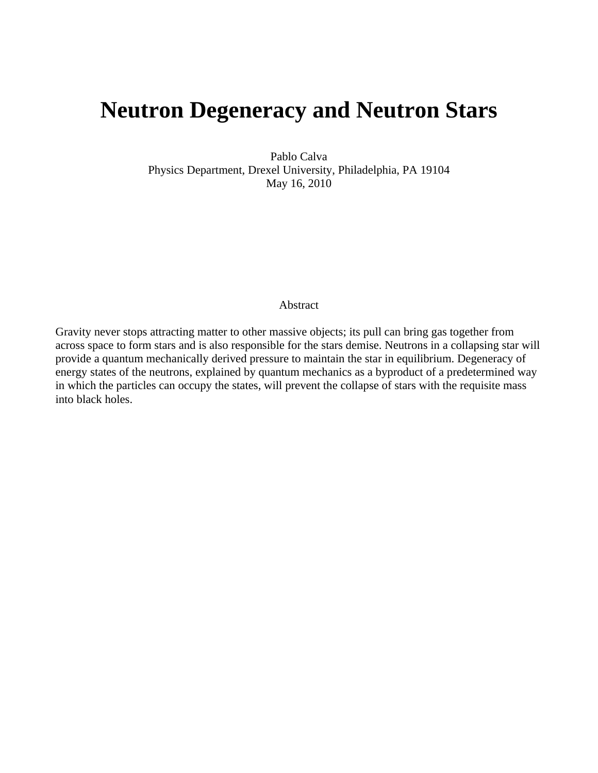# **Neutron Degeneracy and Neutron Stars**

Pablo Calva Physics Department, Drexel University, Philadelphia, PA 19104 May 16, 2010

#### Abstract

Gravity never stops attracting matter to other massive objects; its pull can bring gas together from across space to form stars and is also responsible for the stars demise. Neutrons in a collapsing star will provide a quantum mechanically derived pressure to maintain the star in equilibrium. Degeneracy of energy states of the neutrons, explained by quantum mechanics as a byproduct of a predetermined way in which the particles can occupy the states, will prevent the collapse of stars with the requisite mass into black holes.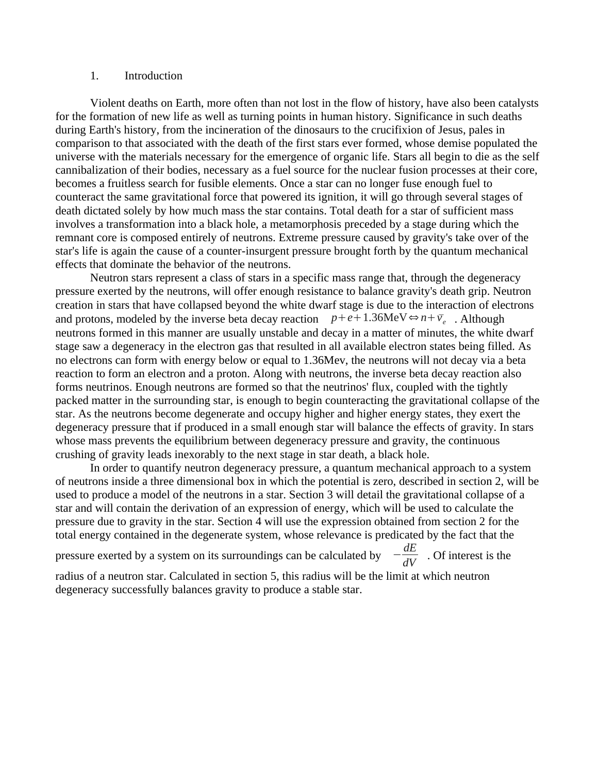#### 1. Introduction

Violent deaths on Earth, more often than not lost in the flow of history, have also been catalysts for the formation of new life as well as turning points in human history. Significance in such deaths during Earth's history, from the incineration of the dinosaurs to the crucifixion of Jesus, pales in comparison to that associated with the death of the first stars ever formed, whose demise populated the universe with the materials necessary for the emergence of organic life. Stars all begin to die as the self cannibalization of their bodies, necessary as a fuel source for the nuclear fusion processes at their core, becomes a fruitless search for fusible elements. Once a star can no longer fuse enough fuel to counteract the same gravitational force that powered its ignition, it will go through several stages of death dictated solely by how much mass the star contains. Total death for a star of sufficient mass involves a transformation into a black hole, a metamorphosis preceded by a stage during which the remnant core is composed entirely of neutrons. Extreme pressure caused by gravity's take over of the star's life is again the cause of a counter-insurgent pressure brought forth by the quantum mechanical effects that dominate the behavior of the neutrons.

Neutron stars represent a class of stars in a specific mass range that, through the degeneracy pressure exerted by the neutrons, will offer enough resistance to balance gravity's death grip. Neutron creation in stars that have collapsed beyond the white dwarf stage is due to the interaction of electrons and protons, modeled by the inverse beta decay reaction  $p+e+1.36\text{MeV} \Leftrightarrow n+\overline{v}_e$  . Although neutrons formed in this manner are usually unstable and decay in a matter of minutes, the white dwarf stage saw a degeneracy in the electron gas that resulted in all available electron states being filled. As no electrons can form with energy below or equal to 1.36Mev, the neutrons will not decay via a beta reaction to form an electron and a proton. Along with neutrons, the inverse beta decay reaction also forms neutrinos. Enough neutrons are formed so that the neutrinos' flux, coupled with the tightly packed matter in the surrounding star, is enough to begin counteracting the gravitational collapse of the star. As the neutrons become degenerate and occupy higher and higher energy states, they exert the degeneracy pressure that if produced in a small enough star will balance the effects of gravity. In stars whose mass prevents the equilibrium between degeneracy pressure and gravity, the continuous crushing of gravity leads inexorably to the next stage in star death, a black hole.

In order to quantify neutron degeneracy pressure, a quantum mechanical approach to a system of neutrons inside a three dimensional box in which the potential is zero, described in section 2, will be used to produce a model of the neutrons in a star. Section 3 will detail the gravitational collapse of a star and will contain the derivation of an expression of energy, which will be used to calculate the pressure due to gravity in the star. Section 4 will use the expression obtained from section 2 for the total energy contained in the degenerate system, whose relevance is predicated by the fact that the

pressure exerted by a system on its surroundings can be calculated by  $\frac{dE}{dV}$  . Of interest is the

radius of a neutron star. Calculated in section 5, this radius will be the limit at which neutron degeneracy successfully balances gravity to produce a stable star.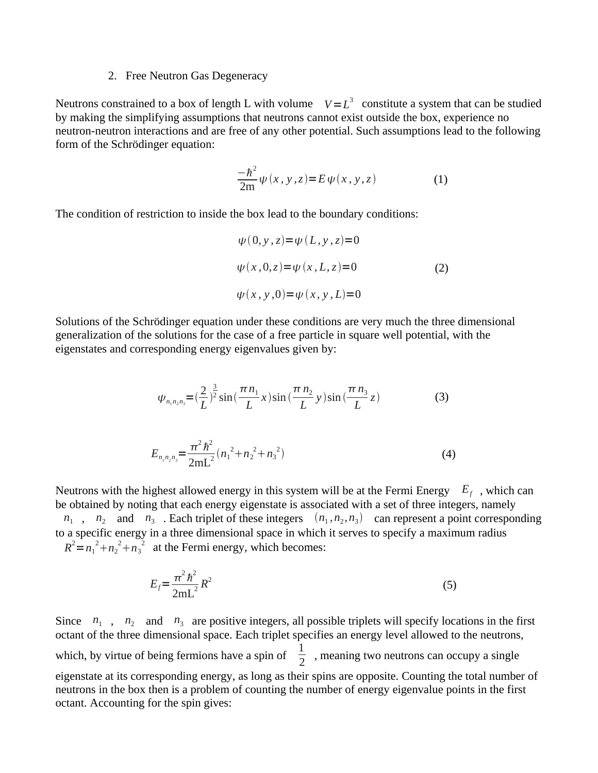#### 2. Free Neutron Gas Degeneracy

Neutrons constrained to a box of length L with volume  $V = L^3$  constitute a system that can be studied by making the simplifying assumptions that neutrons cannot exist outside the box, experience no neutron-neutron interactions and are free of any other potential. Such assumptions lead to the following form of the Schrödinger equation:

$$
\frac{-\hbar^2}{2m}\psi(x,y,z)=E\psi(x,y,z)
$$
 (1)

The condition of restriction to inside the box lead to the boundary conditions:

$$
\psi(0, y, z) = \psi(L, y, z) = 0
$$
  

$$
\psi(x, 0, z) = \psi(x, L, z) = 0
$$
 (2)  

$$
\psi(x, y, 0) = \psi(x, y, L) = 0
$$

Solutions of the Schrödinger equation under these conditions are very much the three dimensional generalization of the solutions for the case of a free particle in square well potential, with the eigenstates and corresponding energy eigenvalues given by:

$$
\psi_{n_1 n_2 n_3} = \left(\frac{2}{L}\right)^{\frac{3}{2}} \sin\left(\frac{\pi n_1}{L} x\right) \sin\left(\frac{\pi n_2}{L} y\right) \sin\left(\frac{\pi n_3}{L} z\right) \tag{3}
$$

$$
E_{n_1 n_2 n_3} = \frac{\pi^2 \hbar^2}{2mL^2} (n_1^2 + n_2^2 + n_3^2)
$$
 (4)

Neutrons with the highest allowed energy in this system will be at the Fermi Energy *E<sup>f</sup>* , which can be obtained by noting that each energy eigenstate is associated with a set of three integers, namely  $n_1$ ,  $n_2$  and  $n_3$ . Each triplet of these integers  $(n_1, n_2, n_3)$  can represent a point corresponding to a specific energy in a three dimensional space in which it serves to specify a maximum radius

 $R^2 = n_1^2 + n_2^2 + n_3^2$  at the Fermi energy, which becomes:

$$
E_f = \frac{\pi^2 \hbar^2}{2mL^2} R^2
$$
\n<sup>(5)</sup>

Since  $n_1$ ,  $n_2$  and  $n_3$  are positive integers, all possible triplets will specify locations in the first octant of the three dimensional space. Each triplet specifies an energy level allowed to the neutrons, which, by virtue of being fermions have a spin of  $\frac{1}{2}$  , meaning two neutrons can occupy a single eigenstate at its corresponding energy, as long as their spins are opposite. Counting the total number of neutrons in the box then is a problem of counting the number of energy eigenvalue points in the first octant. Accounting for the spin gives: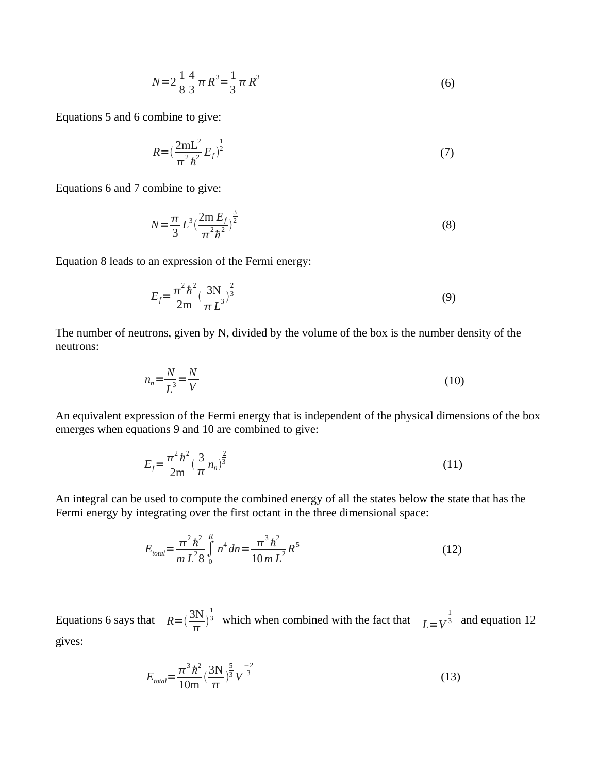$$
N = 2\frac{1}{8}\frac{4}{3}\pi R^3 = \frac{1}{3}\pi R^3
$$
 (6)

Equations 5 and 6 combine to give:

$$
R = \left(\frac{2mL^2}{\pi^2 \hbar^2} E_f\right)^{\frac{1}{2}}
$$
 (7)

Equations 6 and 7 combine to give:

$$
N = \frac{\pi}{3} L^3 \left( \frac{2m E_f}{\pi^2 h^2} \right)^{\frac{3}{2}}
$$
 (8)

Equation 8 leads to an expression of the Fermi energy:

$$
E_f = \frac{\pi^2 \hbar^2}{2m} \left(\frac{3N}{\pi L^3}\right)^{\frac{2}{3}}
$$
(9)

The number of neutrons, given by N, divided by the volume of the box is the number density of the neutrons:

$$
n_n = \frac{N}{L^3} = \frac{N}{V} \tag{10}
$$

An equivalent expression of the Fermi energy that is independent of the physical dimensions of the box emerges when equations 9 and 10 are combined to give:

$$
E_f = \frac{\pi^2 \hbar^2}{2m} \left(\frac{3}{\pi} n_n\right)^{\frac{2}{3}}
$$
 (11)

An integral can be used to compute the combined energy of all the states below the state that has the Fermi energy by integrating over the first octant in the three dimensional space:

$$
E_{total} = \frac{\pi^2 \hbar^2}{m L^2 8} \int_0^R n^4 dn = \frac{\pi^3 \hbar^2}{10 m L^2} R^5
$$
 (12)

Equations 6 says that  $R = \left(\frac{3N}{4}\right)$  $rac{\pi}{\pi}$ 1  $\frac{1}{3}$  which when combined with the fact that  $L=V^{\frac{1}{3}}$  and equation 12 gives:

$$
E_{\text{total}} = \frac{\pi^3 \hbar^2}{10 \text{m}} \left(\frac{3 \text{N}}{\pi}\right)^{\frac{5}{3}} V^{\frac{-2}{3}}
$$
(13)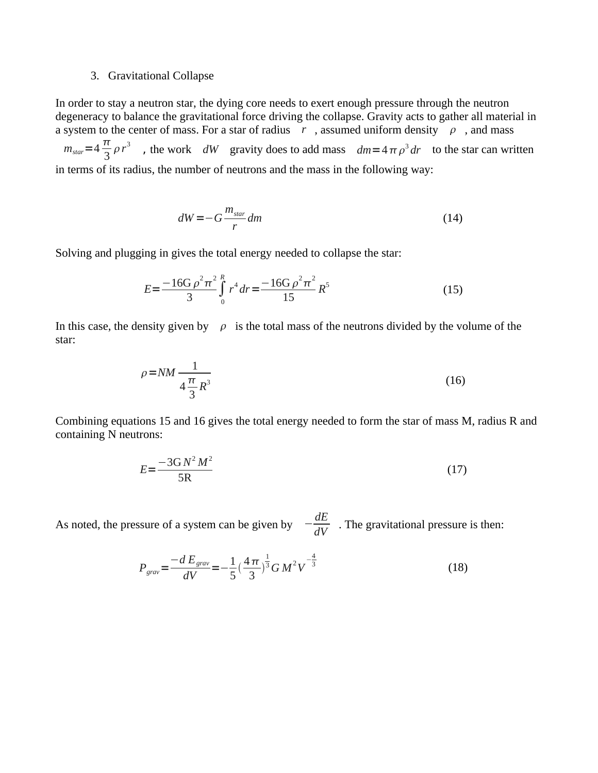#### 3. Gravitational Collapse

In order to stay a neutron star, the dying core needs to exert enough pressure through the neutron degeneracy to balance the gravitational force driving the collapse. Gravity acts to gather all material in a system to the center of mass. For a star of radius  $\bar{r}$ , assumed uniform density  $\rho$ , and mass  $m_{\text{star}} = 4 \frac{\pi}{2}$ 3  $\rho r^3$  , the work  $dW$  gravity does to add mass  $dm = 4 \pi \rho^3 dr$  to the star can written in terms of its radius, the number of neutrons and the mass in the following way:

$$
dW = -G \frac{m_{\text{star}}}{r} dm \tag{14}
$$

Solving and plugging in gives the total energy needed to collapse the star:

$$
E = \frac{-16G \rho^2 \pi^2}{3} \int_0^R r^4 dr = \frac{-16G \rho^2 \pi^2}{15} R^5
$$
 (15)

In this case, the density given by  $\rho$  is the total mass of the neutrons divided by the volume of the star:

$$
\rho = NM \frac{1}{4 \frac{\pi}{3} R^3} \tag{16}
$$

Combining equations 15 and 16 gives the total energy needed to form the star of mass M, radius R and containing N neutrons:

$$
E = \frac{-3GM^2M^2}{5R}
$$
\n<sup>(17)</sup>

As noted, the pressure of a system can be given by  $-\frac{dE}{dt}$  $\frac{dE}{dV}$  . The gravitational pressure is then:

$$
P_{grav} = \frac{-d E_{grav}}{dV} = -\frac{1}{5} \left(\frac{4\pi}{3}\right)^{\frac{1}{3}} G M^2 V^{-\frac{4}{3}}
$$
(18)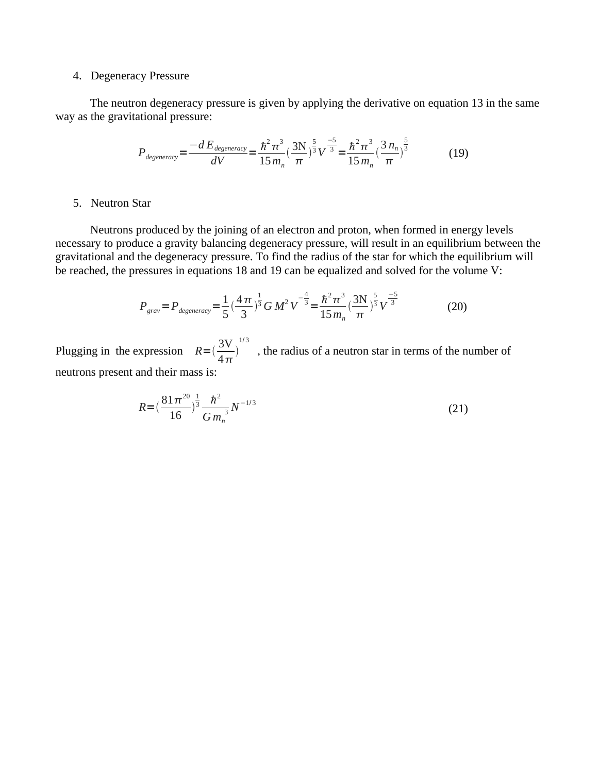### 4. Degeneracy Pressure

The neutron degeneracy pressure is given by applying the derivative on equation 13 in the same way as the gravitational pressure:

$$
P_{degeneracy} = \frac{-dE_{degeneracy}}{dV} = \frac{\hbar^2 \pi^3}{15 m_n} \left(\frac{3N}{\pi}\right)^{\frac{5}{3}} V^{\frac{-5}{3}} = \frac{\hbar^2 \pi^3}{15 m_n} \left(\frac{3 n_n}{\pi}\right)^{\frac{5}{3}}
$$
(19)

#### 5. Neutron Star

Neutrons produced by the joining of an electron and proton, when formed in energy levels necessary to produce a gravity balancing degeneracy pressure, will result in an equilibrium between the gravitational and the degeneracy pressure. To find the radius of the star for which the equilibrium will be reached, the pressures in equations 18 and 19 can be equalized and solved for the volume V:

$$
P_{grav} = P_{degeneracy} = \frac{1}{5} \left(\frac{4\pi}{3}\right)^{\frac{1}{3}} G M^2 V^{-\frac{4}{3}} = \frac{\hbar^2 \pi^3}{15 m_n} \left(\frac{3N}{\pi}\right)^{\frac{5}{3}} V^{-\frac{5}{3}}
$$
(20)

Plugging in the expression  $R = (\frac{3V}{4})^2$  $4\pi$  $\big)$ 1/ 3 , the radius of a neutron star in terms of the number of neutrons present and their mass is:

$$
R = \left(\frac{81\pi^{20}}{16}\right)^{\frac{1}{3}} \frac{\hbar^2}{G m_n^3} N^{-1/3}
$$
\n(21)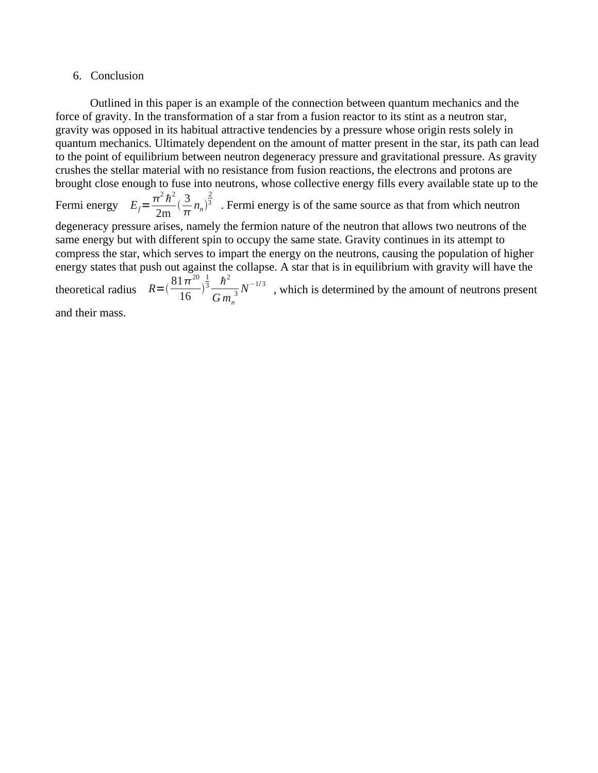#### 6. Conclusion

Outlined in this paper is an example of the connection between quantum mechanics and the force of gravity. In the transformation of a star from a fusion reactor to its stint as a neutron star, gravity was opposed in its habitual attractive tendencies by a pressure whose origin rests solely in quantum mechanics. Ultimately dependent on the amount of matter present in the star, its path can lead to the point of equilibrium between neutron degeneracy pressure and gravitational pressure. As gravity crushes the stellar material with no resistance from fusion reactions, the electrons and protons are brought close enough to fuse into neutrons, whose collective energy fills every available state up to the

Fermi energy  $E_f = \frac{\pi^2 \hbar^2}{2m}$ 2m  $\frac{3}{2}$  $\frac{3}{\pi}n_n$ 2  $3\,$  . Fermi energy is of the same source as that from which neutron

degeneracy pressure arises, namely the fermion nature of the neutron that allows two neutrons of the same energy but with different spin to occupy the same state. Gravity continues in its attempt to compress the star, which serves to impart the energy on the neutrons, causing the population of higher energy states that push out against the collapse. A star that is in equilibrium with gravity will have the theoretical radius  $R = (\frac{81\pi^{20}}{16})$ 16  $\big)$ 1  $rac{1}{3}$   $\hbar^2$ *G m<sup>n</sup>*  $_3^{\text{}}$   $N^{-1/3}$   $\,$  , which is determined by the amount of neutrons present and their mass.